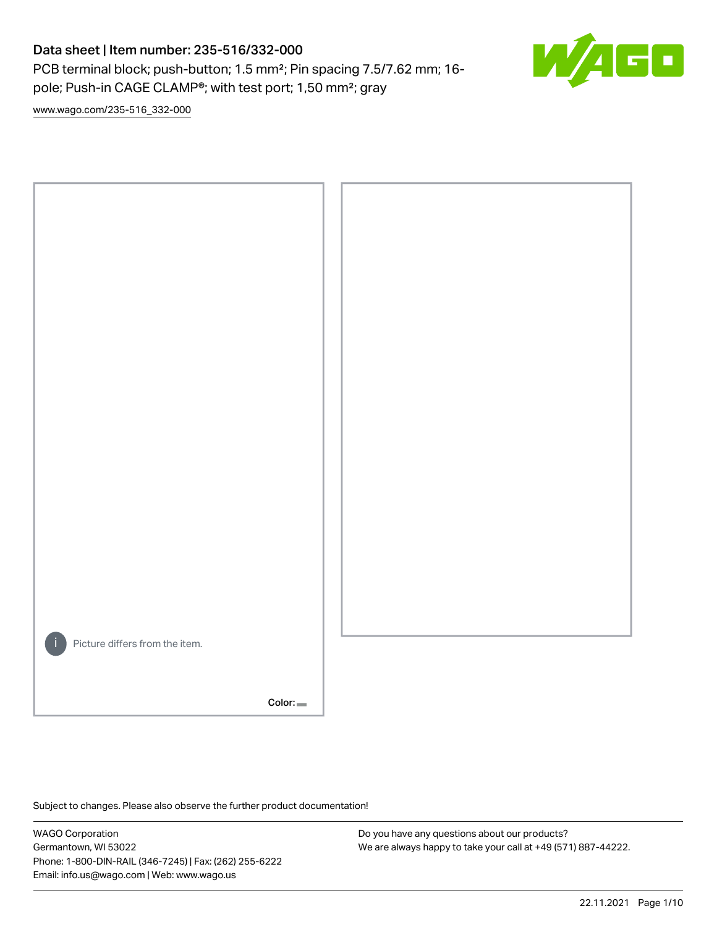PCB terminal block; push-button; 1.5 mm²; Pin spacing 7.5/7.62 mm; 16 pole; Push-in CAGE CLAMP®; with test port; 1,50 mm²; gray



[www.wago.com/235-516\\_332-000](http://www.wago.com/235-516_332-000)



Subject to changes. Please also observe the further product documentation!

WAGO Corporation Germantown, WI 53022 Phone: 1-800-DIN-RAIL (346-7245) | Fax: (262) 255-6222 Email: info.us@wago.com | Web: www.wago.us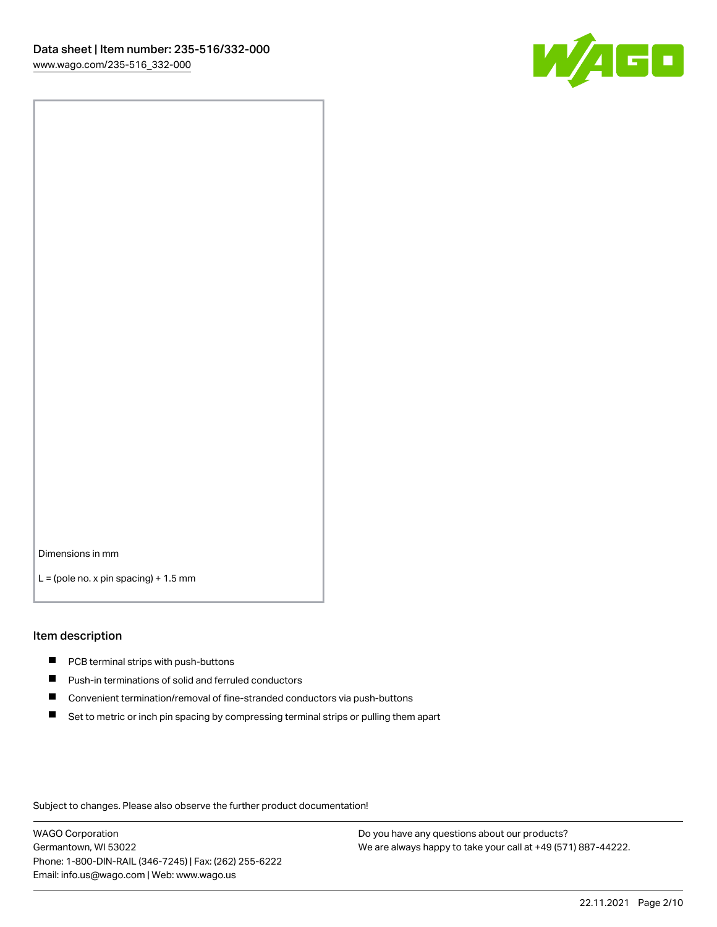

Dimensions in mm

 $L =$  (pole no. x pin spacing) + 1.5 mm

#### Item description

- **PCB terminal strips with push-buttons**
- **Push-in terminations of solid and ferruled conductors**
- $\blacksquare$ Convenient termination/removal of fine-stranded conductors via push-buttons
- Set to metric or inch pin spacing by compressing terminal strips or pulling them apart

Subject to changes. Please also observe the further product documentation!

WAGO Corporation Germantown, WI 53022 Phone: 1-800-DIN-RAIL (346-7245) | Fax: (262) 255-6222 Email: info.us@wago.com | Web: www.wago.us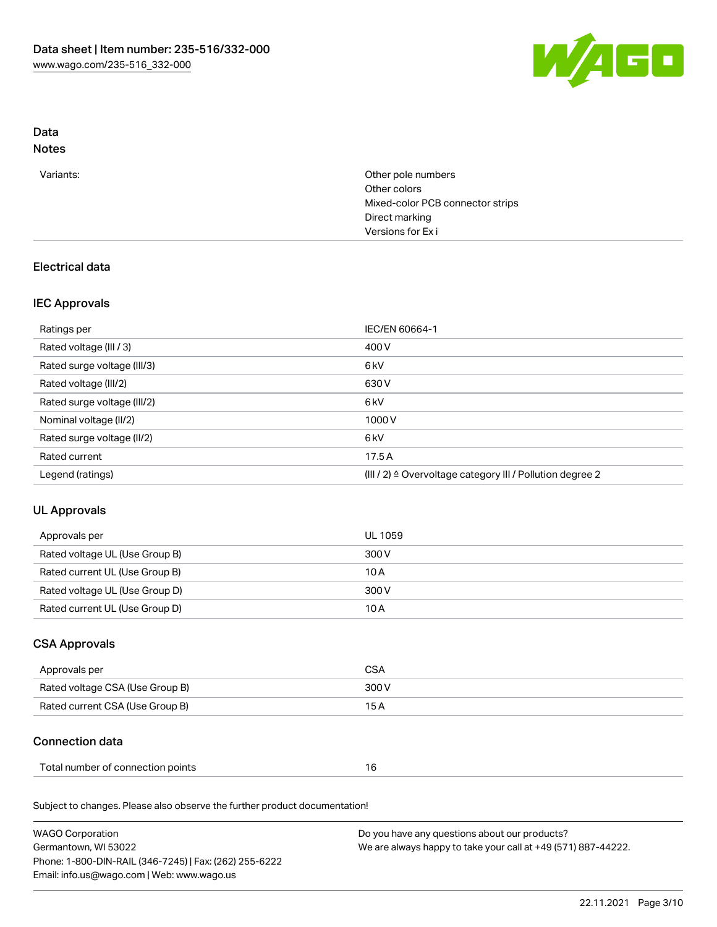

# Data

# Notes

| Other pole numbers<br>Variants:<br>Other colors<br>Mixed-color PCB connector strips |  |
|-------------------------------------------------------------------------------------|--|
| Direct marking                                                                      |  |
| Versions for Exi                                                                    |  |

# Electrical data

### IEC Approvals

| Ratings per                 | IEC/EN 60664-1                                            |
|-----------------------------|-----------------------------------------------------------|
| Rated voltage (III / 3)     | 400 V                                                     |
| Rated surge voltage (III/3) | 6 <sub>k</sub> V                                          |
| Rated voltage (III/2)       | 630 V                                                     |
| Rated surge voltage (III/2) | 6 <sub>kV</sub>                                           |
| Nominal voltage (II/2)      | 1000V                                                     |
| Rated surge voltage (II/2)  | 6 <sub>kV</sub>                                           |
| Rated current               | 17.5A                                                     |
| Legend (ratings)            | (III / 2) ≙ Overvoltage category III / Pollution degree 2 |

# UL Approvals

| Approvals per                  | UL 1059 |
|--------------------------------|---------|
| Rated voltage UL (Use Group B) | 300 V   |
| Rated current UL (Use Group B) | 10 A    |
| Rated voltage UL (Use Group D) | 300 V   |
| Rated current UL (Use Group D) | 10 A    |

### CSA Approvals

| Approvals per                   | CSA   |
|---------------------------------|-------|
| Rated voltage CSA (Use Group B) | 300 V |
| Rated current CSA (Use Group B) | 15 A  |

# Connection data

| Total number of connection points |  |
|-----------------------------------|--|
|-----------------------------------|--|

Subject to changes. Please also observe the further product documentation!

| <b>WAGO Corporation</b>                                | Do you have any questions about our products?                 |
|--------------------------------------------------------|---------------------------------------------------------------|
| Germantown, WI 53022                                   | We are always happy to take your call at +49 (571) 887-44222. |
| Phone: 1-800-DIN-RAIL (346-7245)   Fax: (262) 255-6222 |                                                               |
| Email: info.us@wago.com   Web: www.wago.us             |                                                               |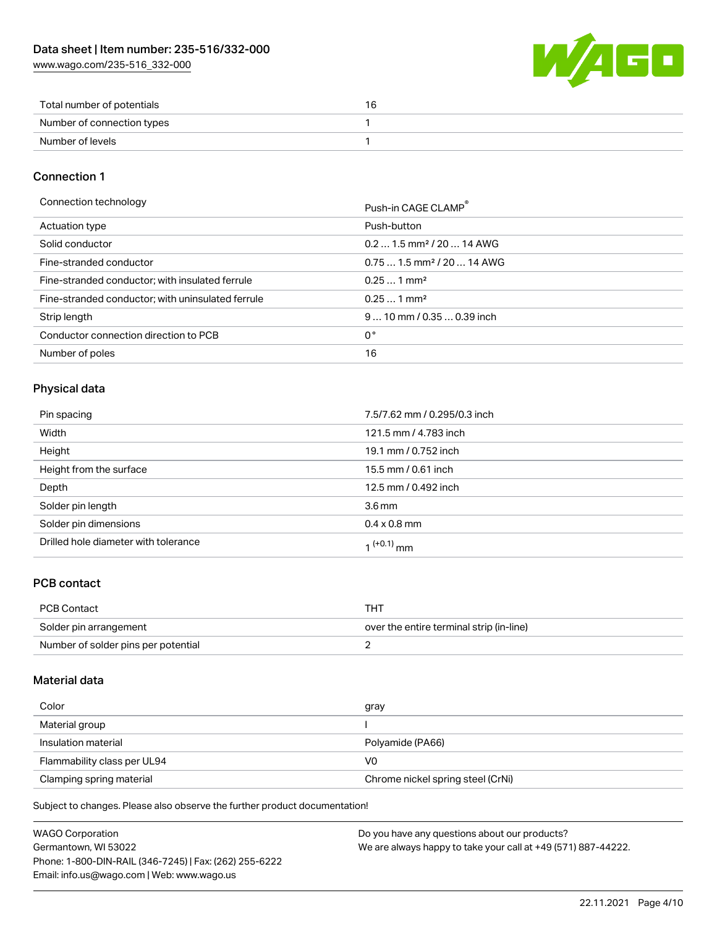[www.wago.com/235-516\\_332-000](http://www.wago.com/235-516_332-000)



| Total number of potentials |  |
|----------------------------|--|
| Number of connection types |  |
| Number of levels           |  |

### Connection 1

Connection technology **Push-in CAGE CLAMP<sup>®</sup>** 

|                                                   | PUSN-IN CAGE CLAMP                     |
|---------------------------------------------------|----------------------------------------|
| Actuation type                                    | Push-button                            |
| Solid conductor                                   | $0.21.5$ mm <sup>2</sup> / 20  14 AWG  |
| Fine-stranded conductor                           | $0.751.5$ mm <sup>2</sup> / 20  14 AWG |
| Fine-stranded conductor; with insulated ferrule   | $0.251$ mm <sup>2</sup>                |
| Fine-stranded conductor; with uninsulated ferrule | $0.251$ mm <sup>2</sup>                |
| Strip length                                      | $910$ mm / 0.35  0.39 inch             |
| Conductor connection direction to PCB             | 0°                                     |
| Number of poles                                   | 16                                     |

### Physical data

| Pin spacing                          | 7.5/7.62 mm / 0.295/0.3 inch |
|--------------------------------------|------------------------------|
| Width                                | 121.5 mm / 4.783 inch        |
| Height                               | 19.1 mm / 0.752 inch         |
| Height from the surface              | 15.5 mm / 0.61 inch          |
| Depth                                | 12.5 mm / 0.492 inch         |
| Solder pin length                    | 3.6 <sub>mm</sub>            |
| Solder pin dimensions                | $0.4 \times 0.8$ mm          |
| Drilled hole diameter with tolerance | $(40.1)$ mm                  |

### PCB contact

| PCB Contact                         | THT                                      |
|-------------------------------------|------------------------------------------|
| Solder pin arrangement              | over the entire terminal strip (in-line) |
| Number of solder pins per potential |                                          |

### Material data

| Color                       | gray                              |
|-----------------------------|-----------------------------------|
| Material group              |                                   |
| Insulation material         | Polyamide (PA66)                  |
| Flammability class per UL94 | V0                                |
| Clamping spring material    | Chrome nickel spring steel (CrNi) |

Subject to changes. Please also observe the further product documentation!

| <b>WAGO Corporation</b>                                | Do you have any questions about our products?                 |
|--------------------------------------------------------|---------------------------------------------------------------|
| Germantown, WI 53022                                   | We are always happy to take your call at +49 (571) 887-44222. |
| Phone: 1-800-DIN-RAIL (346-7245)   Fax: (262) 255-6222 |                                                               |
| Email: info.us@wago.com   Web: www.wago.us             |                                                               |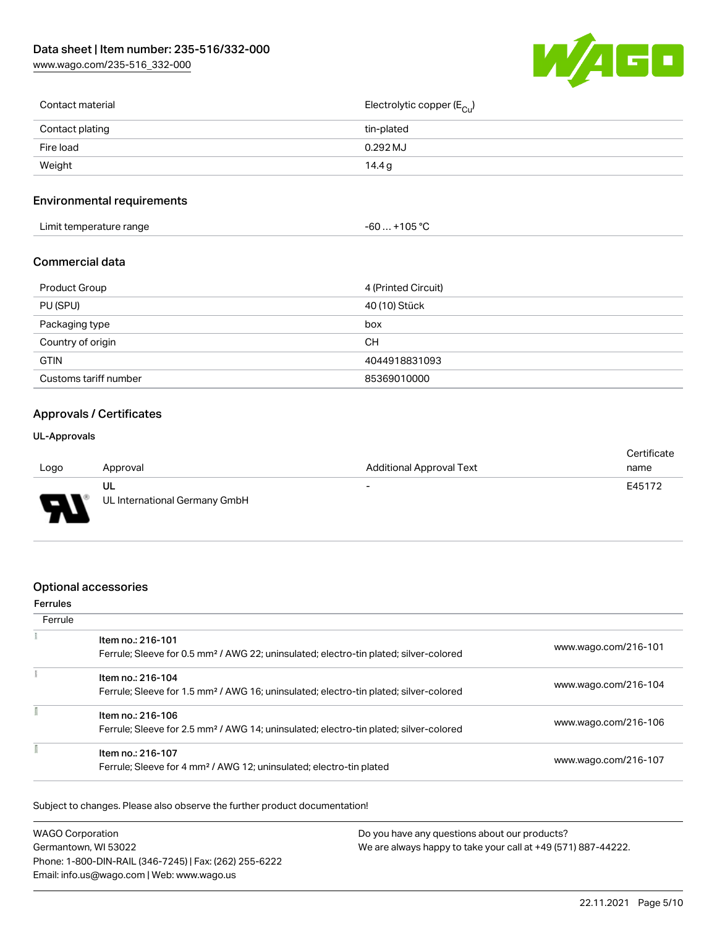[www.wago.com/235-516\\_332-000](http://www.wago.com/235-516_332-000)



| Contact material | Electrolytic copper (E <sub>Cu</sub> ) |
|------------------|----------------------------------------|
| Contact plating  | tin-plated                             |
| Fire load        | $0.292$ MJ                             |
| Weight           | 14.4 g                                 |
|                  |                                        |

### Environmental requirements

| $\ldots$ +105 °C $\,$<br>Limit temperature range<br>-60 |  |
|---------------------------------------------------------|--|
|---------------------------------------------------------|--|

#### Commercial data

| Product Group         | 4 (Printed Circuit) |
|-----------------------|---------------------|
| PU (SPU)              | 40 (10) Stück       |
| Packaging type        | box                 |
| Country of origin     | <b>CH</b>           |
| <b>GTIN</b>           | 4044918831093       |
| Customs tariff number | 85369010000         |

#### Approvals / Certificates

#### UL-Approvals

|      |                               |                          | Certificate |
|------|-------------------------------|--------------------------|-------------|
| Logo | Approval                      | Additional Approval Text | name        |
|      | UL                            | $\overline{\phantom{0}}$ | E45172      |
| Б    | UL International Germany GmbH |                          |             |

#### Optional accessories

#### Ferrules **Ferrule** ğ. Item no.: 216-101 Ferrule; Sleeve for 0.5 mm² / AWG 22; uninsulated; electro-tin plated; silver-colored [www.wago.com/216-101](http://www.wago.com/216-101)  $\tilde{\Sigma}$ Item no.: 216-104 Ferrule; Sleeve for 1.5 mm² / AWG 16; uninsulated; electro-tin plated; silver-colored [www.wago.com/216-104](http://www.wago.com/216-104) ī Item no.: 216-106 Ferrule; Sleeve for 2.5 mm² / AWG 14; uninsulated; electro-tin plated; silver-colored [www.wago.com/216-106](http://www.wago.com/216-106) ī Item no.: 216-107 Ferrule; Sleeve for 4 mm² / AWG 12; uninsulated; electro-tin plated [www.wago.com/216-107](http://www.wago.com/216-107)

Subject to changes. Please also observe the further product documentation!

| <b>WAGO Corporation</b>                                | Do you have any questions about our products?                 |  |
|--------------------------------------------------------|---------------------------------------------------------------|--|
| Germantown, WI 53022                                   | We are always happy to take your call at +49 (571) 887-44222. |  |
| Phone: 1-800-DIN-RAIL (346-7245)   Fax: (262) 255-6222 |                                                               |  |
| Email: info.us@wago.com   Web: www.wago.us             |                                                               |  |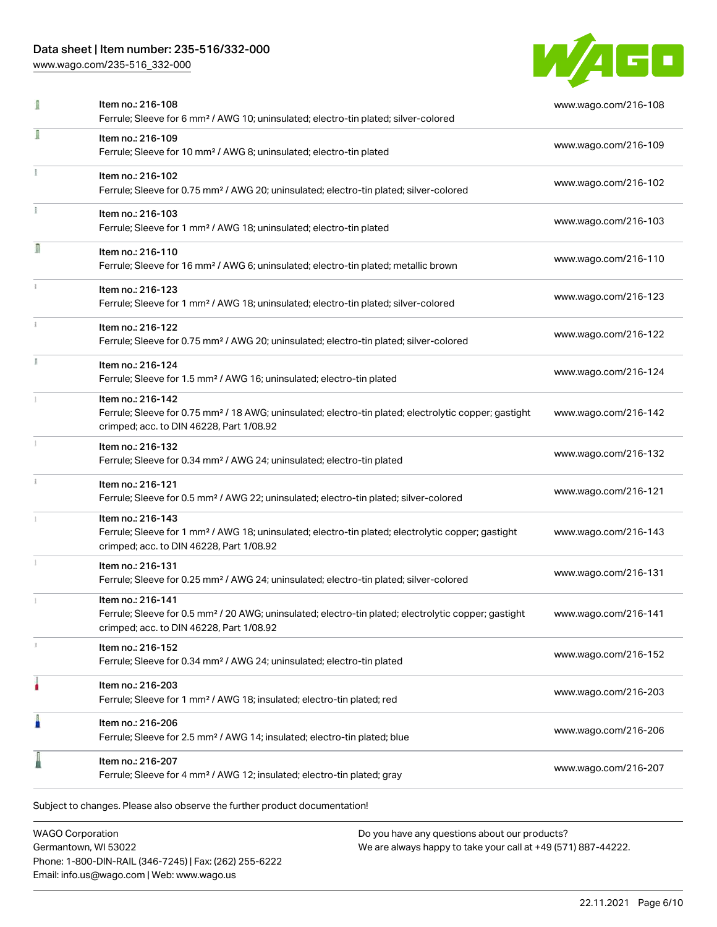[www.wago.com/235-516\\_332-000](http://www.wago.com/235-516_332-000)



|    | Item no.: 216-108<br>Ferrule; Sleeve for 6 mm <sup>2</sup> / AWG 10; uninsulated; electro-tin plated; silver-colored                                                               | www.wago.com/216-108 |
|----|------------------------------------------------------------------------------------------------------------------------------------------------------------------------------------|----------------------|
|    | Item no.: 216-109<br>Ferrule; Sleeve for 10 mm <sup>2</sup> / AWG 8; uninsulated; electro-tin plated                                                                               | www.wago.com/216-109 |
|    | Item no.: 216-102<br>Ferrule; Sleeve for 0.75 mm <sup>2</sup> / AWG 20; uninsulated; electro-tin plated; silver-colored                                                            | www.wago.com/216-102 |
|    | Item no.: 216-103<br>Ferrule; Sleeve for 1 mm <sup>2</sup> / AWG 18; uninsulated; electro-tin plated                                                                               | www.wago.com/216-103 |
| Л  | Item no.: 216-110<br>Ferrule; Sleeve for 16 mm <sup>2</sup> / AWG 6; uninsulated; electro-tin plated; metallic brown                                                               | www.wago.com/216-110 |
|    | Item no.: 216-123<br>Ferrule; Sleeve for 1 mm <sup>2</sup> / AWG 18; uninsulated; electro-tin plated; silver-colored                                                               | www.wago.com/216-123 |
|    | Item no.: 216-122<br>Ferrule; Sleeve for 0.75 mm <sup>2</sup> / AWG 20; uninsulated; electro-tin plated; silver-colored                                                            | www.wago.com/216-122 |
|    | Item no.: 216-124<br>Ferrule; Sleeve for 1.5 mm <sup>2</sup> / AWG 16; uninsulated; electro-tin plated                                                                             | www.wago.com/216-124 |
|    | Item no.: 216-142<br>Ferrule; Sleeve for 0.75 mm <sup>2</sup> / 18 AWG; uninsulated; electro-tin plated; electrolytic copper; gastight<br>crimped; acc. to DIN 46228, Part 1/08.92 | www.wago.com/216-142 |
|    | Item no.: 216-132<br>Ferrule; Sleeve for 0.34 mm <sup>2</sup> / AWG 24; uninsulated; electro-tin plated                                                                            | www.wago.com/216-132 |
|    | Item no.: 216-121<br>Ferrule; Sleeve for 0.5 mm <sup>2</sup> / AWG 22; uninsulated; electro-tin plated; silver-colored                                                             | www.wago.com/216-121 |
|    | Item no.: 216-143<br>Ferrule; Sleeve for 1 mm <sup>2</sup> / AWG 18; uninsulated; electro-tin plated; electrolytic copper; gastight<br>crimped; acc. to DIN 46228, Part 1/08.92    | www.wago.com/216-143 |
|    | Item no.: 216-131<br>Ferrule; Sleeve for 0.25 mm <sup>2</sup> / AWG 24; uninsulated; electro-tin plated; silver-colored                                                            | www.wago.com/216-131 |
|    | Item no.: 216-141<br>Ferrule; Sleeve for 0.5 mm <sup>2</sup> / 20 AWG; uninsulated; electro-tin plated; electrolytic copper; gastight<br>crimped; acc. to DIN 46228, Part 1/08.92  | www.wago.com/216-141 |
| s. | Item no.: 216-152<br>Ferrule; Sleeve for 0.34 mm <sup>2</sup> / AWG 24; uninsulated; electro-tin plated                                                                            | www.wago.com/216-152 |
| ۵  | Item no.: 216-203<br>Ferrule; Sleeve for 1 mm <sup>2</sup> / AWG 18; insulated; electro-tin plated; red                                                                            | www.wago.com/216-203 |
| Ω  | Item no.: 216-206<br>Ferrule; Sleeve for 2.5 mm <sup>2</sup> / AWG 14; insulated; electro-tin plated; blue                                                                         | www.wago.com/216-206 |
|    | Item no.: 216-207<br>Ferrule; Sleeve for 4 mm <sup>2</sup> / AWG 12; insulated; electro-tin plated; gray                                                                           | www.wago.com/216-207 |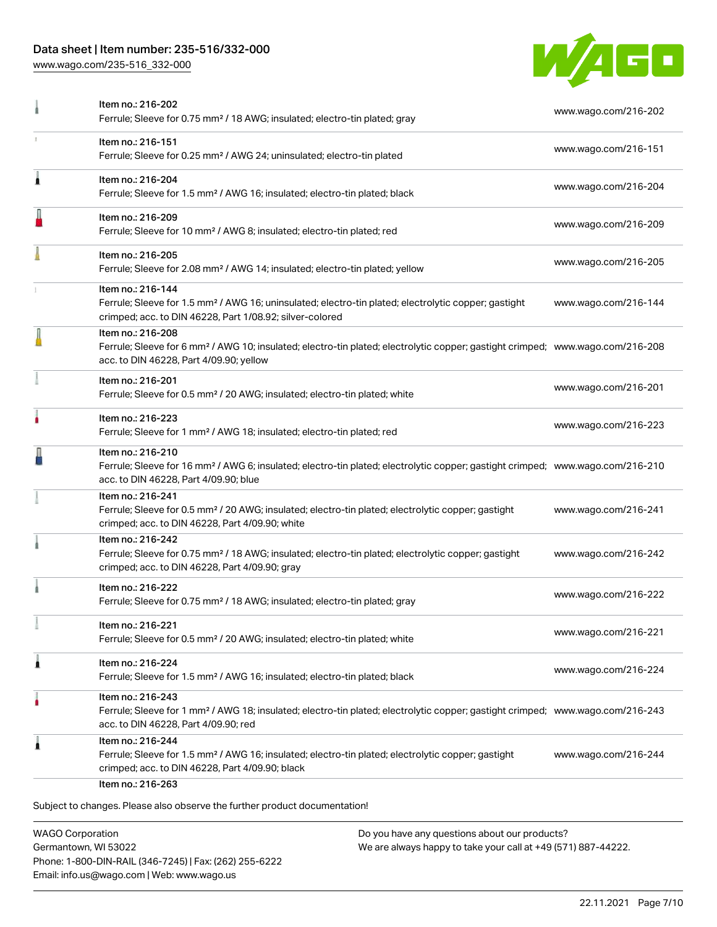[www.wago.com/235-516\\_332-000](http://www.wago.com/235-516_332-000)



| Item no.: 216-202<br>Ferrule; Sleeve for 0.75 mm <sup>2</sup> / 18 AWG; insulated; electro-tin plated; gray                                                                                                | www.wago.com/216-202 |
|------------------------------------------------------------------------------------------------------------------------------------------------------------------------------------------------------------|----------------------|
| Item no.: 216-151<br>Ferrule; Sleeve for 0.25 mm <sup>2</sup> / AWG 24; uninsulated; electro-tin plated                                                                                                    | www.wago.com/216-151 |
| Item no.: 216-204<br>Ferrule; Sleeve for 1.5 mm <sup>2</sup> / AWG 16; insulated; electro-tin plated; black                                                                                                | www.wago.com/216-204 |
| Item no.: 216-209<br>Ferrule; Sleeve for 10 mm <sup>2</sup> / AWG 8; insulated; electro-tin plated; red                                                                                                    | www.wago.com/216-209 |
| Item no.: 216-205<br>Ferrule; Sleeve for 2.08 mm <sup>2</sup> / AWG 14; insulated; electro-tin plated; yellow                                                                                              | www.wago.com/216-205 |
| Item no.: 216-144<br>Ferrule; Sleeve for 1.5 mm <sup>2</sup> / AWG 16; uninsulated; electro-tin plated; electrolytic copper; gastight<br>crimped; acc. to DIN 46228, Part 1/08.92; silver-colored          | www.wago.com/216-144 |
| Item no.: 216-208<br>Ferrule; Sleeve for 6 mm <sup>2</sup> / AWG 10; insulated; electro-tin plated; electrolytic copper; gastight crimped; www.wago.com/216-208<br>acc. to DIN 46228, Part 4/09.90; yellow |                      |
| Item no.: 216-201<br>Ferrule; Sleeve for 0.5 mm <sup>2</sup> / 20 AWG; insulated; electro-tin plated; white                                                                                                | www.wago.com/216-201 |
| Item no.: 216-223<br>Ferrule; Sleeve for 1 mm <sup>2</sup> / AWG 18; insulated; electro-tin plated; red                                                                                                    | www.wago.com/216-223 |
| Item no.: 216-210<br>Ferrule; Sleeve for 16 mm <sup>2</sup> / AWG 6; insulated; electro-tin plated; electrolytic copper; gastight crimped; www.wago.com/216-210<br>acc. to DIN 46228, Part 4/09.90; blue   |                      |
| Item no.: 216-241<br>Ferrule; Sleeve for 0.5 mm <sup>2</sup> / 20 AWG; insulated; electro-tin plated; electrolytic copper; gastight<br>crimped; acc. to DIN 46228, Part 4/09.90; white                     | www.wago.com/216-241 |
| Item no.: 216-242<br>Ferrule; Sleeve for 0.75 mm <sup>2</sup> / 18 AWG; insulated; electro-tin plated; electrolytic copper; gastight<br>crimped; acc. to DIN 46228, Part 4/09.90; gray                     | www.wago.com/216-242 |
| Item no.: 216-222<br>Ferrule; Sleeve for 0.75 mm <sup>2</sup> / 18 AWG; insulated; electro-tin plated; gray                                                                                                | www.wago.com/216-222 |
| Item no.: 216-221<br>Ferrule; Sleeve for 0.5 mm <sup>2</sup> / 20 AWG; insulated; electro-tin plated; white                                                                                                | www.wago.com/216-221 |
| Item no.: 216-224<br>Ferrule; Sleeve for 1.5 mm <sup>2</sup> / AWG 16; insulated; electro-tin plated; black                                                                                                | www.wago.com/216-224 |
| Item no.: 216-243<br>Ferrule; Sleeve for 1 mm <sup>2</sup> / AWG 18; insulated; electro-tin plated; electrolytic copper; gastight crimped; www.wago.com/216-243<br>acc. to DIN 46228, Part 4/09.90; red    |                      |
| Item no.: 216-244<br>Ferrule; Sleeve for 1.5 mm <sup>2</sup> / AWG 16; insulated; electro-tin plated; electrolytic copper; gastight<br>crimped; acc. to DIN 46228, Part 4/09.90; black                     | www.wago.com/216-244 |
|                                                                                                                                                                                                            |                      |

WAGO Corporation Germantown, WI 53022 Phone: 1-800-DIN-RAIL (346-7245) | Fax: (262) 255-6222 Email: info.us@wago.com | Web: www.wago.us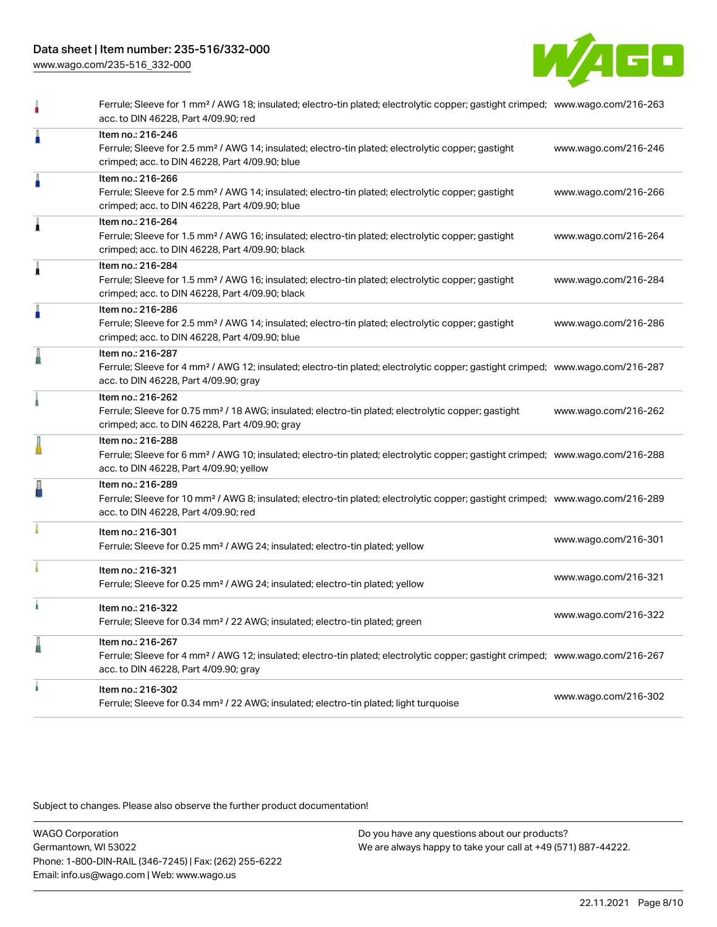[www.wago.com/235-516\\_332-000](http://www.wago.com/235-516_332-000)



|   | Ferrule; Sleeve for 1 mm <sup>2</sup> / AWG 18; insulated; electro-tin plated; electrolytic copper; gastight crimped; www.wago.com/216-263<br>acc. to DIN 46228, Part 4/09.90; red                         |                      |
|---|------------------------------------------------------------------------------------------------------------------------------------------------------------------------------------------------------------|----------------------|
| Å | Item no.: 216-246<br>Ferrule; Sleeve for 2.5 mm <sup>2</sup> / AWG 14; insulated; electro-tin plated; electrolytic copper; gastight<br>crimped; acc. to DIN 46228, Part 4/09.90; blue                      | www.wago.com/216-246 |
| Å | Item no.: 216-266<br>Ferrule; Sleeve for 2.5 mm <sup>2</sup> / AWG 14; insulated; electro-tin plated; electrolytic copper; gastight<br>crimped; acc. to DIN 46228, Part 4/09.90; blue                      | www.wago.com/216-266 |
| Â | Item no.: 216-264<br>Ferrule; Sleeve for 1.5 mm <sup>2</sup> / AWG 16; insulated; electro-tin plated; electrolytic copper; gastight<br>crimped; acc. to DIN 46228, Part 4/09.90; black                     | www.wago.com/216-264 |
| Â | Item no.: 216-284<br>Ferrule; Sleeve for 1.5 mm <sup>2</sup> / AWG 16; insulated; electro-tin plated; electrolytic copper; gastight<br>crimped; acc. to DIN 46228, Part 4/09.90; black                     | www.wago.com/216-284 |
| I | Item no.: 216-286<br>Ferrule; Sleeve for 2.5 mm <sup>2</sup> / AWG 14; insulated; electro-tin plated; electrolytic copper; gastight<br>crimped; acc. to DIN 46228, Part 4/09.90; blue                      | www.wago.com/216-286 |
| I | Item no.: 216-287<br>Ferrule; Sleeve for 4 mm <sup>2</sup> / AWG 12; insulated; electro-tin plated; electrolytic copper; gastight crimped; www.wago.com/216-287<br>acc. to DIN 46228, Part 4/09.90; gray   |                      |
|   | Item no.: 216-262<br>Ferrule; Sleeve for 0.75 mm <sup>2</sup> / 18 AWG; insulated; electro-tin plated; electrolytic copper; gastight<br>crimped; acc. to DIN 46228, Part 4/09.90; gray                     | www.wago.com/216-262 |
|   | Item no.: 216-288<br>Ferrule; Sleeve for 6 mm <sup>2</sup> / AWG 10; insulated; electro-tin plated; electrolytic copper; gastight crimped; www.wago.com/216-288<br>acc. to DIN 46228, Part 4/09.90; yellow |                      |
| ł | Item no.: 216-289<br>Ferrule; Sleeve for 10 mm <sup>2</sup> / AWG 8; insulated; electro-tin plated; electrolytic copper; gastight crimped; www.wago.com/216-289<br>acc. to DIN 46228, Part 4/09.90; red    |                      |
|   | Item no.: 216-301<br>Ferrule; Sleeve for 0.25 mm <sup>2</sup> / AWG 24; insulated; electro-tin plated; yellow                                                                                              | www.wago.com/216-301 |
|   | Item no.: 216-321<br>Ferrule; Sleeve for 0.25 mm <sup>2</sup> / AWG 24; insulated; electro-tin plated; yellow                                                                                              | www.wago.com/216-321 |
|   | Item no.: 216-322<br>Ferrule; Sleeve for 0.34 mm <sup>2</sup> / 22 AWG; insulated; electro-tin plated; green                                                                                               | www.wago.com/216-322 |
| l | Item no.: 216-267<br>Ferrule; Sleeve for 4 mm <sup>2</sup> / AWG 12; insulated; electro-tin plated; electrolytic copper; gastight crimped; www.wago.com/216-267<br>acc. to DIN 46228, Part 4/09.90; gray   |                      |
|   | Item no.: 216-302<br>Ferrule; Sleeve for 0.34 mm <sup>2</sup> / 22 AWG; insulated; electro-tin plated; light turquoise                                                                                     | www.wago.com/216-302 |

Subject to changes. Please also observe the further product documentation!

WAGO Corporation Germantown, WI 53022 Phone: 1-800-DIN-RAIL (346-7245) | Fax: (262) 255-6222 Email: info.us@wago.com | Web: www.wago.us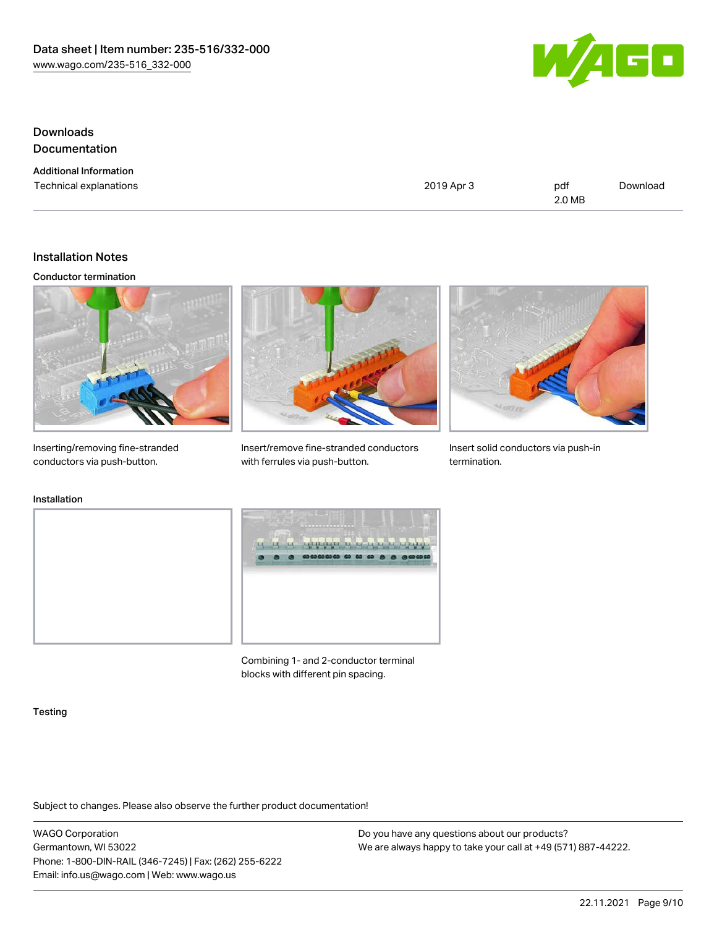

## Downloads **Documentation**

| <b>Additional Information</b> |  |
|-------------------------------|--|
| Technical explanations        |  |

2019 Apr 3 pdf 2.0 MB [Download](https://www.wago.com/global/d/1435602)

### Installation Notes

#### Conductor termination



Inserting/removing fine-stranded conductors via push-button.



Insert/remove fine-stranded conductors with ferrules via push-button.



Insert solid conductors via push-in termination.

### Installation





Combining 1- and 2-conductor terminal blocks with different pin spacing.

#### **Testing**

Subject to changes. Please also observe the further product documentation!

WAGO Corporation Germantown, WI 53022 Phone: 1-800-DIN-RAIL (346-7245) | Fax: (262) 255-6222 Email: info.us@wago.com | Web: www.wago.us